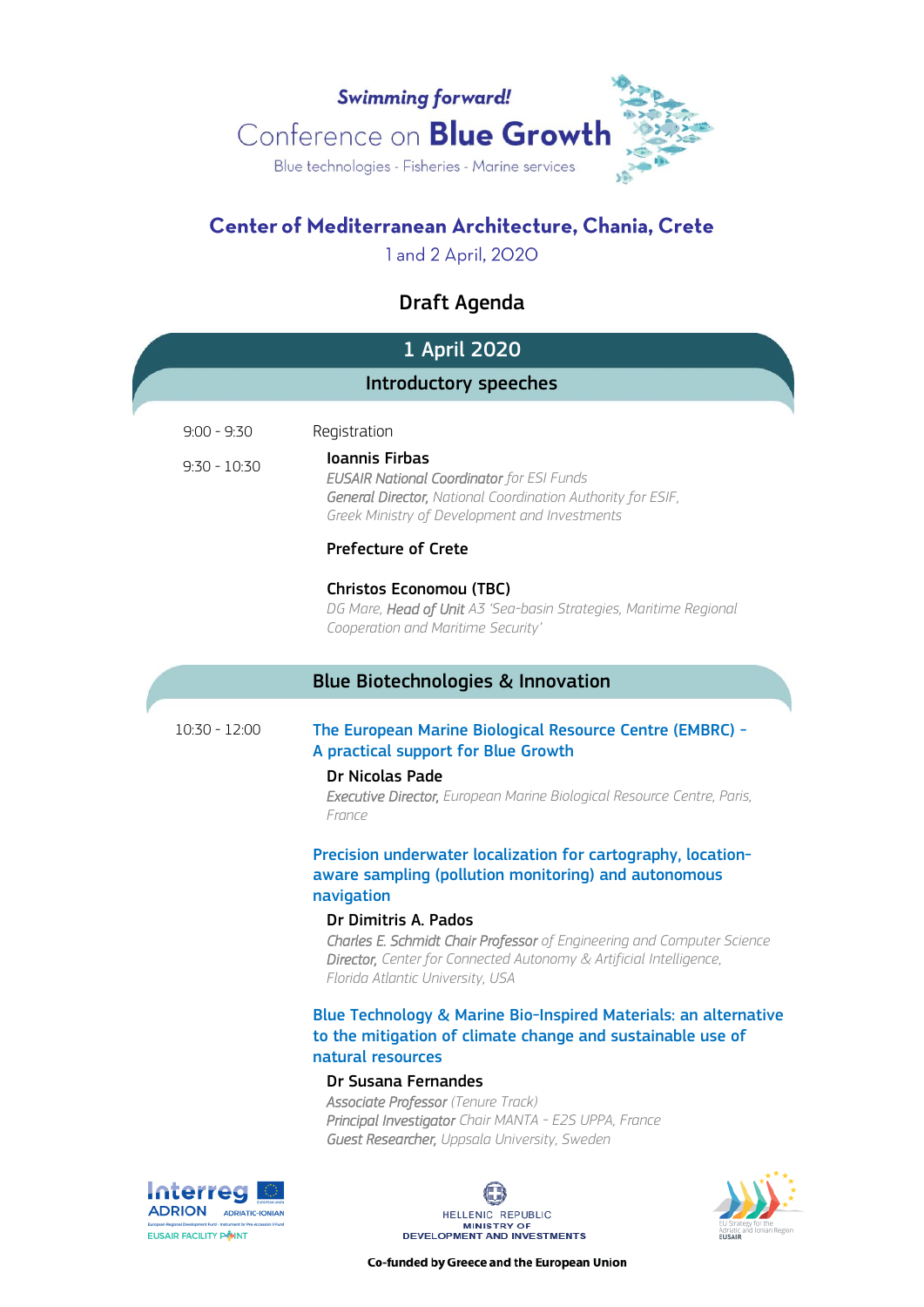

# Center of Mediterranean Architecture, Chania, Crete

1 and 2 April, 2020

# Draft Agenda

|                                 | 1 April 2020                                                                                                                                                                                                                                                                                                                                                     |  |
|---------------------------------|------------------------------------------------------------------------------------------------------------------------------------------------------------------------------------------------------------------------------------------------------------------------------------------------------------------------------------------------------------------|--|
| Introductory speeches           |                                                                                                                                                                                                                                                                                                                                                                  |  |
| $9:00 - 9:30$<br>$9:30 - 10:30$ | Registration<br><b>Ioannis Firbas</b><br><b>EUSAIR National Coordinator</b> for ESI Funds<br>General Director, National Coordination Authority for ESIF,<br>Greek Ministry of Development and Investments                                                                                                                                                        |  |
|                                 | <b>Prefecture of Crete</b><br>Christos Economou (TBC)<br>DG Mare, Head of Unit A3 'Sea-basin Strategies, Maritime Regional<br>Cooperation and Maritime Security'                                                                                                                                                                                                 |  |
|                                 | <b>Blue Biotechnologies &amp; Innovation</b>                                                                                                                                                                                                                                                                                                                     |  |
| $10:30 - 12:00$                 | The European Marine Biological Resource Centre (EMBRC) -<br>A practical support for Blue Growth<br>Dr Nicolas Pade<br><b>Executive Director, European Marine Biological Resource Centre, Paris,</b><br>France                                                                                                                                                    |  |
|                                 | Precision underwater localization for cartography, location-<br>aware sampling (pollution monitoring) and autonomous<br>navigation<br>Dr Dimitris A. Pados<br><b>Charles E. Schmidt Chair Professor</b> of Engineering and Computer Science<br><b>Director, Center for Connected Autonomy &amp; Artificial Intelligence,</b><br>Florida Atlantic University, USA |  |
|                                 | Blue Technology & Marine Bio-Inspired Materials: an alternative<br>to the mitigation of climate change and sustainable use of<br>natural resources<br>Dr Susana Fernandes                                                                                                                                                                                        |  |
|                                 | <b>Associate Professor</b> (Tenure Track)<br>Principal Investigator Chair MANTA - E2S UPPA, France<br>Guest Researcher, Uppsala University, Sweden                                                                                                                                                                                                               |  |





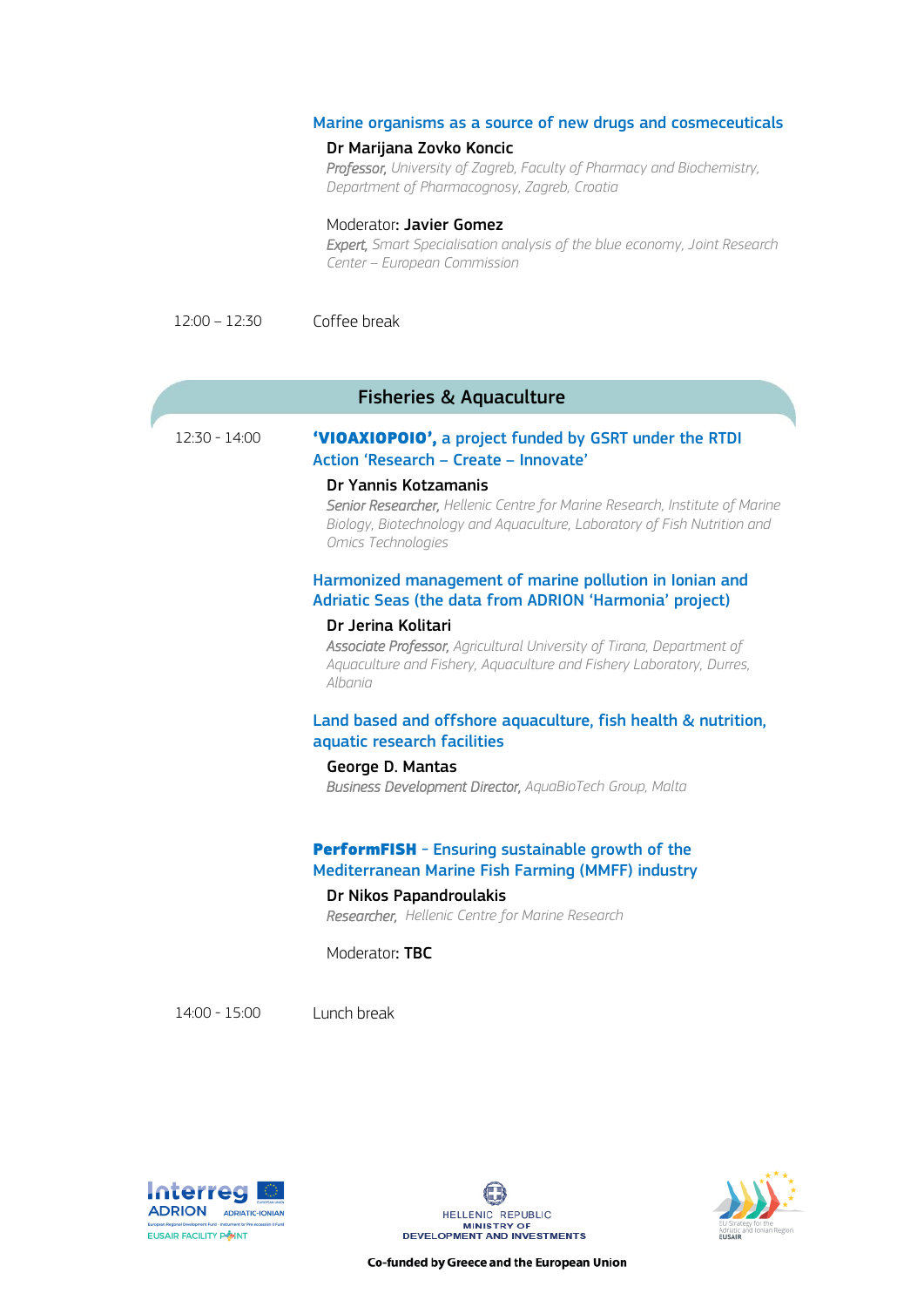#### Marine organisms as a source of new drugs and cosmeceuticals

#### Dr Marijana Zovko Koncic

*Professor, University of Zagreb, Faculty of Pharmacy and Biochemistry, Department of Pharmacognosy, Zagreb, Croatia*

#### Moderator: Javier Gomez

*Expert, Smart Specialisation analysis of the blue economy, Joint Research Center – European Commission*

12:00 – 12:30 Coffee break

# Fisheries & Aquaculture

# 12:30 - 14:00 'VIOAXIOPOIO', a project funded by GSRT under the RTDI Action 'Research – Create – Innovate'

#### Dr Yannis Kotzamanis

*Senior Researcher, Hellenic Centre for Marine Research, Institute of Marine Biology, Biotechnology and Aquaculture, Laboratory of Fish Nutrition and Omics Technologies*

#### Harmonized management of marine pollution in Ionian and Adriatic Seas (the data from ADRION 'Harmonia' project)

#### Dr Jerina Kolitari

*Associate Professor, Agricultural University of Tirana, Department of Aquaculture and Fishery, Aquaculture and Fishery Laboratory, Durres, Albania*

# Land based and offshore aquaculture, fish health & nutrition, aquatic research facilities

#### George D. Mantas

*Business Development Director, AquaBioTech Group, Malta*

# PerformFISH - Ensuring sustainable growth of the Mediterranean Marine Fish Farming (MMFF) industry

# Dr Nikos Papandroulakis

*Researcher, Hellenic Centre for Marine Research*

Moderator: TBC

14:00 - 15:00 Lunch break





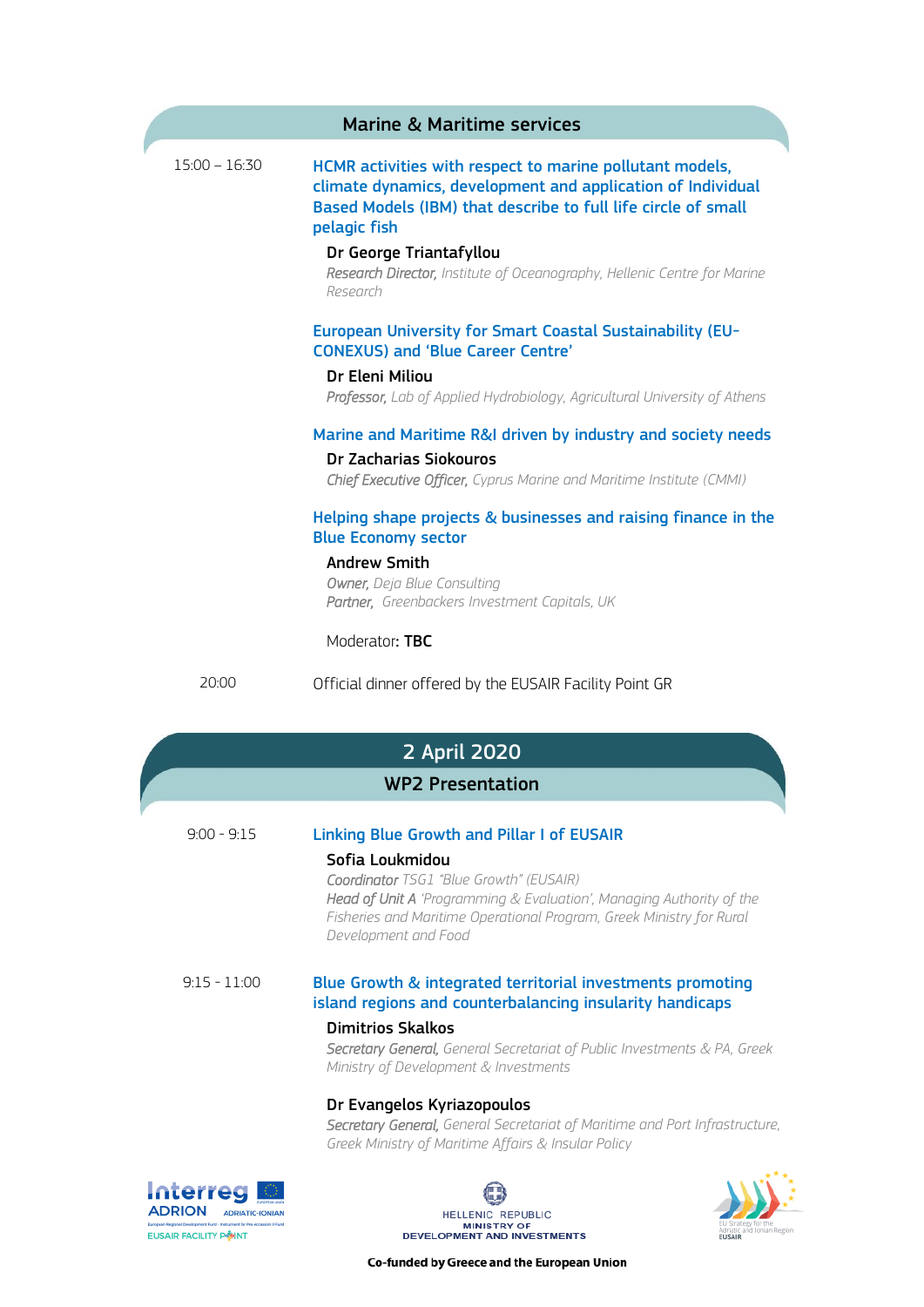|                 | <b>Marine &amp; Maritime services</b>                                                                                                                                                                    |
|-----------------|----------------------------------------------------------------------------------------------------------------------------------------------------------------------------------------------------------|
| $15:00 - 16:30$ | HCMR activities with respect to marine pollutant models,<br>climate dynamics, development and application of Individual<br>Based Models (IBM) that describe to full life circle of small<br>pelagic fish |
|                 | Dr George Triantafyllou<br>Research Director, Institute of Oceanography, Hellenic Centre for Marine<br>Research                                                                                          |
|                 | <b>European University for Smart Coastal Sustainability (EU-</b><br><b>CONEXUS) and 'Blue Career Centre'</b><br>Dr Eleni Miliou                                                                          |
|                 | Professor, Lab of Applied Hydrobiology, Agricultural University of Athens                                                                                                                                |
|                 | Marine and Maritime R&I driven by industry and society needs<br>Dr Zacharias Siokouros<br>Chief Executive Officer, Cyprus Marine and Maritime Institute (CMMI)                                           |
|                 | Helping shape projects & businesses and raising finance in the<br><b>Blue Economy sector</b>                                                                                                             |
|                 | <b>Andrew Smith</b><br>Owner, Deja Blue Consulting<br>Partner, Greenbackers Investment Capitals, UK                                                                                                      |
|                 | Moderator: TBC                                                                                                                                                                                           |
| 20:00           | Official dinner offered by the EUSAIR Facility Point GR                                                                                                                                                  |
|                 | 2 April 2020                                                                                                                                                                                             |
|                 | <b>WP2 Presentation</b>                                                                                                                                                                                  |
| $9:00 - 9:15$   | <b>Linking Blue Growth and Pillar I of EUSAIR</b>                                                                                                                                                        |
|                 | Sofia Loukmidou<br>Coordinator TSG1 "Blue Growth" (EUSAIR)<br>Hoad of Linit A 'Drogramming & Evaluation' Managing Authority of the                                                                       |

*Head of Unit Α 'Programming & Evaluation', Managing Authority of the Fisheries and Maritime Operational Program, Greek Ministry for Rural Development and Food*

 9:15 - 11:00 Blue Growth & integrated territorial investments promoting island regions and counterbalancing insularity handicaps

#### Dimitrios Skalkos

*Secretary General, General Secretariat of Public Investments & PA, Greek Ministry of Development & Investments*

# Dr Evangelos Kyriazopoulos

*Secretary General, General Secretariat of Maritime and Port Infrastructure, Greek Ministry of Maritime Affairs & Insular Policy*

**Interreg ADRION ADRIATIC-IONIAN EUSAIR FACILITY POINT**